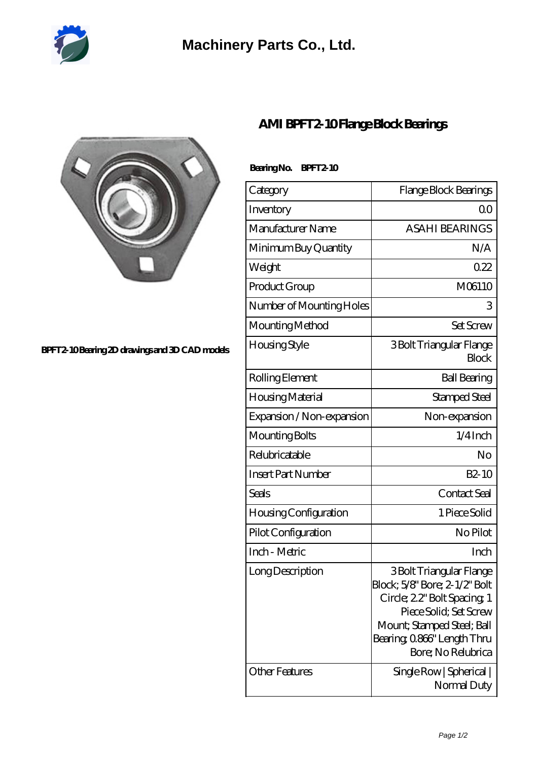

## **[Machinery Parts Co., Ltd.](https://m.diours.com)**



#### **[BPFT2-10 Bearing 2D drawings and 3D CAD models](https://m.diours.com/pic-379796.html)**

### **[AMI BPFT2-10 Flange Block Bearings](https://m.diours.com/ami-bpft2-10-bearing/)**

### **Bearing No. BPFT2-10**

| Category                           | Flange Block Bearings                                                                                                                                                                                                           |
|------------------------------------|---------------------------------------------------------------------------------------------------------------------------------------------------------------------------------------------------------------------------------|
| Inventory                          | 00                                                                                                                                                                                                                              |
| Manufacturer Name                  | <b>ASAHI BEARINGS</b>                                                                                                                                                                                                           |
| Minimum Buy Quantity               | N/A                                                                                                                                                                                                                             |
| Weight                             | 022                                                                                                                                                                                                                             |
| Product Group                      | M06110                                                                                                                                                                                                                          |
| Number of Mounting Holes           | 3                                                                                                                                                                                                                               |
| Mounting Method                    | <b>Set Screw</b>                                                                                                                                                                                                                |
| Housing Style                      | 3 Bolt Triangular Flange<br><b>Block</b>                                                                                                                                                                                        |
| Rolling Element                    | <b>Ball Bearing</b>                                                                                                                                                                                                             |
| Housing Material                   | Stamped Steel                                                                                                                                                                                                                   |
| Expansion / Non-expansion          | Non-expansion                                                                                                                                                                                                                   |
| Mounting Bolts                     | $1/4$ Inch                                                                                                                                                                                                                      |
| Relubricatable                     | No                                                                                                                                                                                                                              |
| <b>Insert Part Number</b>          | $B2-10$                                                                                                                                                                                                                         |
| <b>Seals</b>                       | Contact Seal                                                                                                                                                                                                                    |
| Housing Configuration              | 1 Piece Solid                                                                                                                                                                                                                   |
| Pilot Configuration                | No Pilot                                                                                                                                                                                                                        |
| Inch - Metric                      | Inch                                                                                                                                                                                                                            |
| Long Description<br>Other Features | 3 Bolt Triangular Flange<br>Block; 5/8" Bore; 2-1/2" Bolt<br>Circle; 22" Bolt Spacing; 1<br>Piece Solid: Set Screw<br>Mount; Stamped Steel; Ball<br>Bearing, 0.866" Length Thru<br>Bore; No Relubrica<br>Single Row   Spherical |
|                                    | Normal Duty                                                                                                                                                                                                                     |